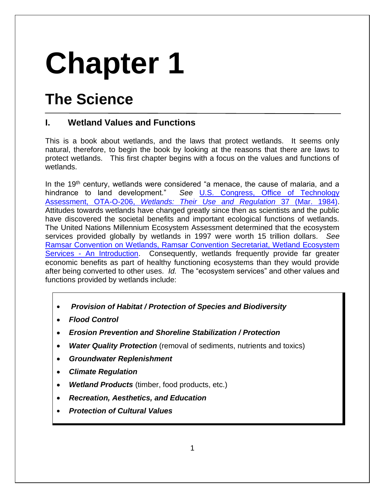# **Chapter 1**

# **The Science**

# **I. Wetland Values and Functions**

This is a book about wetlands, and the laws that protect wetlands. It seems only natural, therefore, to begin the book by looking at the reasons that there are laws to protect wetlands. This first chapter begins with a focus on the values and functions of wetlands.

In the  $19<sup>th</sup>$  century, wetlands were considered "a menace, the cause of malaria, and a hindrance to land development." *See* [U.S. Congress, Office of Technology](http://govinfo.library.unt.edu/ota/Ota_4/DATA/1984/8433.PDF)  Assessment, OTA-O-206, *[Wetlands: Their Use and Regulation](http://govinfo.library.unt.edu/ota/Ota_4/DATA/1984/8433.PDF)* 37 (Mar. 1984). Attitudes towards wetlands have changed greatly since then as scientists and the public have discovered the societal benefits and important ecological functions of wetlands. The United Nations Millennium Ecosystem Assessment determined that the ecosystem services provided globally by wetlands in 1997 were worth 15 trillion dollars. *See* [Ramsar Convention on Wetlands, Ramsar Convention Secretariat, Wetland Ecosystem](https://www.ramsar.org/sites/default/files/documents/library/services_00_e.pdf)  Services - [An Introduction.](https://www.ramsar.org/sites/default/files/documents/library/services_00_e.pdf) Consequently, wetlands frequently provide far greater economic benefits as part of healthy functioning ecosystems than they would provide after being converted to other uses. *Id.* The "ecosystem services" and other values and functions provided by wetlands include:

- \$ *Provision of Habitat / Protection of Species and Biodiversity*
- **Flood Control**
- \$ *Erosion Prevention and Shoreline Stabilization / Protection*
- **Water Quality Protection** (removal of sediments, nutrients and toxics)
- **Groundwater Replenishment**
- **Climate Regulation**
- **Wetland Products** (timber, food products, etc.)
- \$ *Recreation, Aesthetics, and Education*
- **Protection of Cultural Values**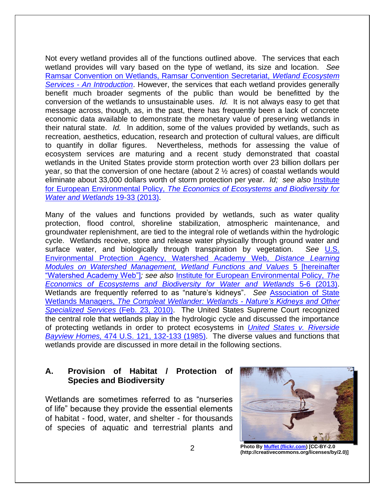Not every wetland provides all of the functions outlined above. The services that each wetland provides will vary based on the type of wetland, its size and location. *See* [Ramsar Convention on Wetlands, Ramsar Convention Secretariat,](https://www.ramsar.org/sites/default/files/documents/library/services_00_e.pdf) *Wetland Ecosystem Services - [An Introduction](https://www.ramsar.org/sites/default/files/documents/library/services_00_e.pdf)*. However, the services that each wetland provides generally benefit much broader segments of the public than would be benefitted by the conversion of the wetlands to unsustainable uses. *Id.* It is not always easy to get that message across, though, as, in the past, there has frequently been a lack of concrete economic data available to demonstrate the monetary value of preserving wetlands in their natural state. *Id.* In addition, some of the values provided by wetlands, such as recreation, aesthetics, education, research and protection of cultural values, are difficult to quantify in dollar figures. Nevertheless, methods for assessing the value of ecosystem services are maturing and a recent study demonstrated that coastal wetlands in the United States provide storm protection worth over 23 billion dollars per year, so that the conversion of one hectare (about 2 ½ acres) of coastal wetlands would eliminate about 33,000 dollars worth of storm protection per year. *Id; see also* [Institute](http://www.teebweb.org/wp-content/uploads/2013/04/TEEB_WaterWetlands_Report_2013.pdf)  for European Environmental Policy, *[The Economics of Ecosystems and Biodiversity for](http://www.teebweb.org/wp-content/uploads/2013/04/TEEB_WaterWetlands_Report_2013.pdf)  [Water and Wetlands](http://www.teebweb.org/wp-content/uploads/2013/04/TEEB_WaterWetlands_Report_2013.pdf)* 19-33 (2013).

Many of the values and functions provided by wetlands, such as water quality protection, flood control, shoreline stabilization, atmospheric maintenance, and groundwater replenishment, are tied to the integral role of wetlands within the hydrologic cycle. Wetlands receive, store and release water physically through ground water and surface water, and biologically through transpiration by vegetation. *See* [U.S.](http://cfpub.epa.gov/watertrain/pdf/modules/WetlandsFunctions.pdf)  [Environmental Protection Agency, Watershed Academy Web,](http://cfpub.epa.gov/watertrain/pdf/modules/WetlandsFunctions.pdf) *Distance Learning [Modules on Watershed Management, Wetland Functions and Values](http://cfpub.epa.gov/watertrain/pdf/modules/WetlandsFunctions.pdf)* 5 [hereinafter "Watershed Academy Web"]*; see also* [Institute for European Environmental Policy,](http://www.teebweb.org/wp-content/uploads/2013/04/TEEB_WaterWetlands_Report_2013.pdf) *The [Economics of Ecosystems and Biodiversity for Water and Wetlands](http://www.teebweb.org/wp-content/uploads/2013/04/TEEB_WaterWetlands_Report_2013.pdf)* 5-6 (2013). Wetlands are frequently referred to as "nature's kidneys". *See* [Association of State](https://www.aswm.org/pdf_lib/aswm_brochure.pdf)  Wetlands Managers, *[The Compleat Wetlander: Wetlands](https://www.aswm.org/pdf_lib/aswm_brochure.pdf) - Nature's Kidneys and Other [Specialized Services](https://www.aswm.org/pdf_lib/aswm_brochure.pdf)* (Feb. 23, 2010). The United States Supreme Court recognized the central role that wetlands play in the hydrologic cycle and discussed the importance of protecting wetlands in order to protect ecosystems in *[United States v. Riverside](http://supreme.justia.com/cases/federal/us/474/121/case.html)  Bayview Homes,* [474 U.S. 121, 132-133 \(1985\).](http://supreme.justia.com/cases/federal/us/474/121/case.html) The diverse values and functions that wetlands provide are discussed in more detail in the following sections.

# **A. Provision of Habitat / Protection of Species and Biodiversity**

Wetlands are sometimes referred to as "nurseries of life" because they provide the essential elements of habitat - food, water, and shelter - for thousands of species of aquatic and terrestrial plants and



**Photo By [Muffet \(flickr.com\)](http://commons.wikimedia.org/wiki/File:Blue_heron.jpg) [CC-BY-2.0 (http://creativecommons.org/licenses/by/2.0)]**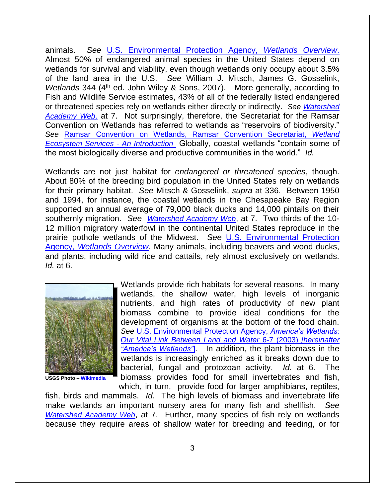animals. *See* [U.S. Environmental Protection Agency,](https://www.envirolawteachers.com/epa-wetlands.html) *Wetlands Overview*. Almost 50% of endangered animal species in the United States depend on wetlands for survival and viability, even though wetlands only occupy about 3.5% of the land area in the U.S. *See* William J. Mitsch, James G. Gosselink, *Wetlands* 344 (4<sup>th</sup> ed. John Wiley & Sons, 2007). More generally, according to Fish and Wildlife Service estimates, 43% of all of the federally listed endangered or threatened species rely on wetlands either directly or indirectly. *See [Watershed](http://cfpub.epa.gov/watertrain/pdf/modules/WetlandsFunctions.pdf)  [Academy Web,](http://cfpub.epa.gov/watertrain/pdf/modules/WetlandsFunctions.pdf)* at 7. Not surprisingly, therefore, the Secretariat for the Ramsar Convention on Wetlands has referred to wetlands as "reservoirs of biodiversity." *See* [Ramsar Convention on Wetlands, Ramsar Convention Secretariat,](https://www.ramsar.org/sites/default/files/documents/library/services_00_e.pdf) *Wetland [Ecosystem Services -](https://www.ramsar.org/sites/default/files/documents/library/services_00_e.pdf) An Introduction* Globally, coastal wetlands "contain some of the most biologically diverse and productive communities in the world." *Id.* 

Wetlands are not just habitat for *endangered or threatened species*, though. About 80% of the breeding bird population in the United States rely on wetlands for their primary habitat. *See* Mitsch & Gosselink, *supra* at 336. Between 1950 and 1994, for instance, the coastal wetlands in the Chesapeake Bay Region supported an annual average of 79,000 black ducks and 14,000 pintails on their southernly migration. *See [Watershed Academy Web](http://cfpub.epa.gov/watertrain/pdf/modules/WetlandsFunctions.pdf)*, at 7. Two thirds of the 10- 12 million migratory waterfowl in the continental United States reproduce in the prairie pothole wetlands of the Midwest. *See* [U.S. Environmental Protection](https://www.envirolawteachers.com/epa-wetlands.html)  Agency, *[Wetlands Overview](https://www.envirolawteachers.com/epa-wetlands.html)*. Many animals, including beavers and wood ducks, and plants, including wild rice and cattails, rely almost exclusively on wetlands. *Id.* at 6.



**USGS Photo – [Wikimedia](http://commons.wikimedia.org/wiki/File:Cattails_in_the_Everglades.jpg)**

Wetlands provide rich habitats for several reasons. In many wetlands, the shallow water, high levels of inorganic nutrients, and high rates of productivity of new plant biomass combine to provide ideal conditions for the development of organisms at the bottom of the food chain. *See* [U.S. Environmental Protection Agency,](https://www.csu.edu/cerc/documents/AmericasWetlands.pdf) *America's Wetlands: [Our Vital Link Between Land and Water](https://www.csu.edu/cerc/documents/AmericasWetlands.pdf)* 6-7 (2003) *[hereinafter ["America's Wetlands"](https://www.csu.edu/cerc/documents/AmericasWetlands.pdf)*]. In addition, the plant biomass in the wetlands is increasingly enriched as it breaks down due to bacterial, fungal and protozoan activity. *Id.* at 6. The biomass provides food for small invertebrates and fish, which, in turn, provide food for larger amphibians, reptiles,

fish, birds and mammals. *Id.* The high levels of biomass and invertebrate life make wetlands an important nursery area for many fish and shellfish. *See [Watershed Academy Web](http://cfpub.epa.gov/watertrain/pdf/modules/WetlandsFunctions.pdf)*, at 7. Further, many species of fish rely on wetlands because they require areas of shallow water for breeding and feeding, or for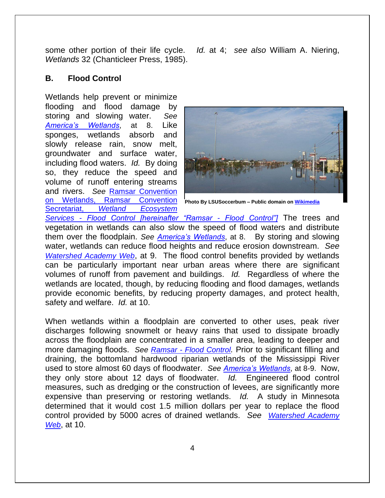some other portion of their life cycle. *Id.* at 4; *see also* William A. Niering, *Wetlands* 32 (Chanticleer Press, 1985).

# **B. Flood Control**

Wetlands help prevent or minimize flooding and flood damage by storing and slowing water. *See [America's Wetlands](https://www.csu.edu/cerc/documents/AmericasWetlands.pdf)*, at 8. Like sponges, wetlands absorb and slowly release rain, snow melt, groundwater and surface water, including flood waters. *Id.* By doing so, they reduce the speed and volume of runoff entering streams and rivers. *See* [Ramsar Convention](https://www.ramsar.org/sites/default/files/documents/library/services_01_e.pdf)  [on Wetlands, Ramsar Convention](https://www.ramsar.org/sites/default/files/documents/library/services_01_e.pdf)  Secretariat, *[Wetland Ecosystem](https://www.ramsar.org/sites/default/files/documents/library/services_01_e.pdf)* 



**Photo By LSUSoccerbum – Public domain o[n Wikimedia](http://commons.wikimedia.org/wiki/File:Clearview_Metairie_08_30_2005.jpg)**

*Services - [Flood Control \[hereinafter "Ramsar -](https://www.ramsar.org/sites/default/files/documents/library/services_01_e.pdf) Flood Control"]* The trees and vegetation in wetlands can also slow the speed of flood waters and distribute them over the floodplain. *See [America's Wetlands](https://www.csu.edu/cerc/documents/AmericasWetlands.pdf)*, at 8. By storing and slowing water, wetlands can reduce flood heights and reduce erosion downstream. *See [Watershed Academy Web](http://cfpub.epa.gov/watertrain/pdf/modules/WetlandsFunctions.pdf)*, at 9. The flood control benefits provided by wetlands can be particularly important near urban areas where there are significant volumes of runoff from pavement and buildings. *Id.* Regardless of where the wetlands are located, though, by reducing flooding and flood damages, wetlands provide economic benefits, by reducing property damages, and protect health, safety and welfare. *Id.* at 10.

When wetlands within a floodplain are converted to other uses, peak river discharges following snowmelt or heavy rains that used to dissipate broadly across the floodplain are concentrated in a smaller area, leading to deeper and more damaging floods. *See Ramsar - [Flood Control](https://www.ramsar.org/sites/default/files/documents/library/services_01_e.pdf).* Prior to significant filling and draining, the bottomland hardwood riparian wetlands of the Mississippi River used to store almost 60 days of floodwater. *See [America's Wetlands](https://www.csu.edu/cerc/documents/AmericasWetlands.pdf)*, at 8-9. Now, they only store about 12 days of floodwater. *Id.* Engineered flood control measures, such as dredging or the construction of levees, are significantly more expensive than preserving or restoring wetlands. *Id.* A study in Minnesota determined that it would cost 1.5 million dollars per year to replace the flood control provided by 5000 acres of drained wetlands. *See [Watershed Academy](http://cfpub.epa.gov/watertrain/pdf/modules/WetlandsFunctions.pdf)  [Web](http://cfpub.epa.gov/watertrain/pdf/modules/WetlandsFunctions.pdf)*, at 10.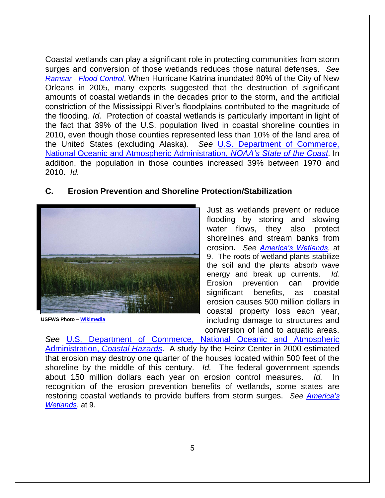Coastal wetlands can play a significant role in protecting communities from storm surges and conversion of those wetlands reduces those natural defenses. *See Ramsar - [Flood Control](https://www.ramsar.org/sites/default/files/documents/library/services_01_e.pdf)*. When Hurricane Katrina inundated 80% of the City of New Orleans in 2005, many experts suggested that the destruction of significant amounts of coastal wetlands in the decades prior to the storm, and the artificial constriction of the Mississippi River's floodplains contributed to the magnitude of the flooding. *Id.* Protection of coastal wetlands is particularly important in light of the fact that 39% of the U.S. population lived in coastal shoreline counties in 2010, even though those counties represented less than 10% of the land area of the United States (excluding Alaska). *See* [U.S. Department of Commerce,](https://web.archive.org/web/20151209084314/http:/stateofthecoast.noaa.gov/population/welcome.html)  [National Oceanic and Atmospheric Administration,](https://web.archive.org/web/20151209084314/http:/stateofthecoast.noaa.gov/population/welcome.html) *NOAA's State of the Coast*. In addition, the population in those counties increased 39% between 1970 and 2010. *Id.* 

# **C. Erosion Prevention and Shoreline Protection/Stabilization**



**USFWS Photo – [Wikimedia](http://commons.wikimedia.org/wiki/File:Coastal_wetlands.jpg)**

Just as wetlands prevent or reduce flooding by storing and slowing water flows, they also protect shorelines and stream banks from erosion**.** *See [America's Wetlands](https://www.csu.edu/cerc/documents/AmericasWetlands.pdf)*, at 9. The roots of wetland plants stabilize the soil and the plants absorb wave energy and break up currents. *Id.* Erosion prevention can provide significant benefits, as coastal erosion causes 500 million dollars in coastal property loss each year, including damage to structures and conversion of land to aquatic areas.

*See* [U.S. Department of Commerce, National Oceanic and Atmospheric](http://oceanservice.noaa.gov/hazards/natural-hazards/)  Administration, *[Coastal Hazards](http://oceanservice.noaa.gov/hazards/natural-hazards/)*. A study by the Heinz Center in 2000 estimated that erosion may destroy one quarter of the houses located within 500 feet of the shoreline by the middle of this century. *Id.* The federal government spends about 150 million dollars each year on erosion control measures. *Id.* In recognition of the erosion prevention benefits of wetlands**,** some states are restoring coastal wetlands to provide buffers from storm surges. *See [America's](https://www.csu.edu/cerc/documents/AmericasWetlands.pdf)  [Wetlands](https://www.csu.edu/cerc/documents/AmericasWetlands.pdf)*, at 9.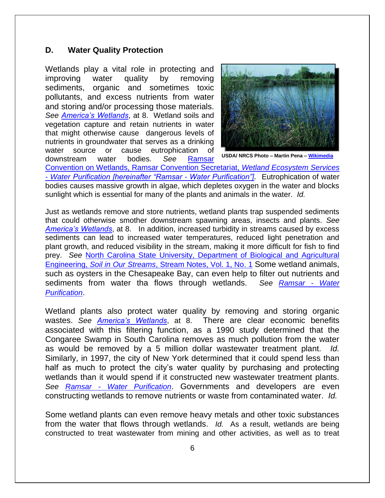### **D. Water Quality Protection**

Wetlands play a vital role in protecting and improving water quality by removing sediments, organic and sometimes toxic pollutants, and excess nutrients from water and storing and/or processing those materials. *See [America's Wetlands](https://www.csu.edu/cerc/documents/AmericasWetlands.pdf)*, at 8. Wetland soils and vegetation capture and retain nutrients in water that might otherwise cause dangerous levels of nutrients in groundwater that serves as a drinking water source or cause eutrophication of

downstream water bodies. *See* [Ramsar](http://www.ramsar.org/sites/default/files/documents/library/services_05_e.pdf) 



**USDA/ NRCS Photo – Martin Pena – [Wikimedia](http://commons.wikimedia.org/wiki/File:NRCSID89001_-_Idaho_(4105)(NRCS_Photo_Gallery).jpg)**

[Convention on Wetlands, Ramsar Convention Secretariat,](http://www.ramsar.org/sites/default/files/documents/library/services_05_e.pdf) *Wetland Ecosystem Services - Water [Purification \[hereinafter "Ramsar -](http://www.ramsar.org/sites/default/files/documents/library/services_05_e.pdf) Water Purification"].* Eutrophication of water bodies causes massive growth in algae, which depletes oxygen in the water and blocks sunlight which is essential for many of the plants and animals in the water. *Id.* 

Just as wetlands remove and store nutrients, wetland plants trap suspended sediments that could otherwise smother downstream spawning areas, insects and plants. *See [America's Wetlands](https://www.csu.edu/cerc/documents/AmericasWetlands.pdf)*, at 8. In addition, increased turbidity in streams caused by excess sediments can lead to increased water temperatures, reduced light penetration and plant growth, and reduced visibility in the stream, making it more difficult for fish to find prey. *See* [North Carolina State University, Department of Biological and Agricultural](https://web.archive.org/web/20161130135336/http:/www.bae.ncsu.edu:80/programs/extension/wqg/sri/sediment5.pdf)  Engineering, *Soil in Our Streams*[, Stream Notes, Vol. 1, No. 1](https://web.archive.org/web/20161130135336/http:/www.bae.ncsu.edu:80/programs/extension/wqg/sri/sediment5.pdf) Some wetland animals, such as oysters in the Chesapeake Bay, can even help to filter out nutrients and sediments from water tha flows through wetlands. *See [Ramsar -](http://www.ramsar.org/sites/default/files/documents/library/services_05_e.pdf) Water [Purification](http://www.ramsar.org/sites/default/files/documents/library/services_05_e.pdf)*.

Wetland plants also protect water quality by removing and storing organic wastes. *See [America's Wetlands](https://www.csu.edu/cerc/documents/AmericasWetlands.pdf)*, at 8. There are clear economic benefits associated with this filtering function, as a 1990 study determined that the Congaree Swamp in South Carolina removes as much pollution from the water as would be removed by a 5 million dollar wastewater treatment plant. *Id.*  Similarly, in 1997, the city of New York determined that it could spend less than half as much to protect the city's water quality by purchasing and protecting wetlands than it would spend if it constructed new wastewater treatment plants. *See Ramsar - [Water Purification](http://www.ramsar.org/sites/default/files/documents/library/services_05_e.pdf)*. Governments and developers are even constructing wetlands to remove nutrients or waste from contaminated water. *Id.* 

Some wetland plants can even remove heavy metals and other toxic substances from the water that flows through wetlands. *Id.* As a result, wetlands are being constructed to treat wastewater from mining and other activities, as well as to treat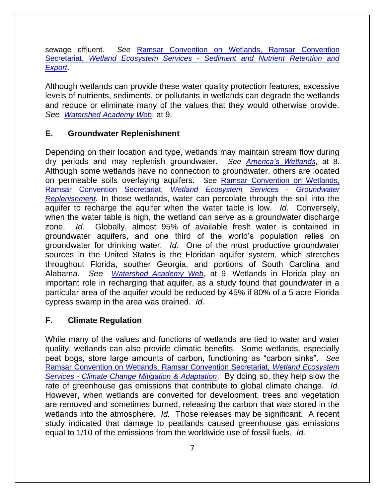sewage effluent. *See* [Ramsar Convention on Wetlands, Ramsar Convention](https://www.ramsar.org/sites/default/files/documents/library/services_04_e.pdf)  Secretariat, *Wetland Ecosystem Services - [Sediment and Nutrient Retention and](https://www.ramsar.org/sites/default/files/documents/library/services_04_e.pdf)  [Export](https://www.ramsar.org/sites/default/files/documents/library/services_04_e.pdf)*.

Although wetlands can provide these water quality protection features, excessive levels of nutrients, sediments, or pollutants in wetlands can degrade the wetlands and reduce or eliminate many of the values that they would otherwise provide. *See [Watershed Academy Web](http://cfpub.epa.gov/watertrain/pdf/modules/WetlandsFunctions.pdf)*, at 9.

# **E. Groundwater Replenishment**

Depending on their location and type, wetlands may maintain stream flow during dry periods and may replenish groundwater. *See [America's Wetlands](https://www.csu.edu/cerc/documents/AmericasWetlands.pdf)*, at 8. Although some wetlands have no connection to groundwater, others are located on permeable soils overlaying aquifers. *See* [Ramsar Convention on Wetlands,](https://www.ramsar.org/sites/default/files/documents/library/services_02_e.pdf)  [Ramsar Convention Secretariat,](https://www.ramsar.org/sites/default/files/documents/library/services_02_e.pdf) *Wetland Ecosystem Services - Groundwater [Replenishment](https://www.ramsar.org/sites/default/files/documents/library/services_02_e.pdf).* In those wetlands, water can percolate through the soil into the aquifer to recharge the aquifer when the water table is low. *Id.* Conversely, when the water table is high, the wetland can serve as a groundwater discharge zone. *Id.* Globally, almost 95% of available fresh water is contained in groundwater aquifers, and one third of the world's population relies on groundwater for drinking water. *Id.* One of the most productive groundwater sources in the United States is the Floridan aquifer system, which stretches throughout Florida, souther Georgia, and portions of South Carolina and Alabama. *See [Watershed Academy Web](http://cfpub.epa.gov/watertrain/pdf/modules/WetlandsFunctions.pdf)*, at 9. Wetlands in Florida play an important role in recharging that aquifer, as a study found that goundwater in a particular area of the aquifer would be reduced by 45% if 80% of a 5 acre Florida cypress swamp in the area was drained. *Id.* 

# **F. Climate Regulation**

While many of the values and functions of wetlands are tied to water and water quality, wetlands can also provide climatic benefits. Some wetlands, especially peat bogs, store large amounts of carbon, functioning as "carbon sinks". *See* [Ramsar Convention on Wetlands, Ramsar Convention Secretariat,](https://www.ramsar.org/sites/default/files/documents/library/services_10_e.pdf) *Wetland Ecosystem Services - [Climate Change Mitigation & Adaptation](https://www.ramsar.org/sites/default/files/documents/library/services_10_e.pdf)*. By doing so, they help slow the rate of greenhouse gas emissions that contribute to global climate change. *Id.*  However, when wetlands are converted for development, trees and vegetation are removed and sometimes burned, releasing the carbon that *was* stored in the wetlands into the atmosphere. *Id.* Those releases may be significant. A recent study indicated that damage to peatlands caused greenhouse gas emissions equal to 1/10 of the emissions from the worldwide use of fossil fuels. *Id.*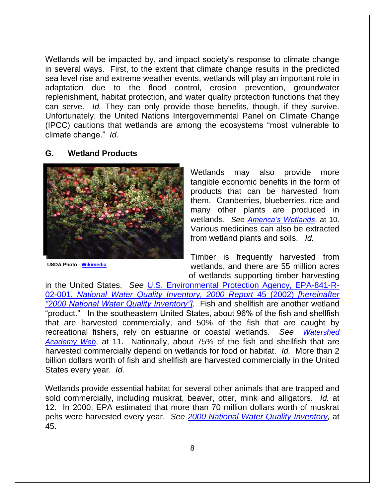Wetlands will be impacted by, and impact society's response to climate change in several ways. First, to the extent that climate change results in the predicted sea level rise and extreme weather events, wetlands will play an important role in adaptation due to the flood control, erosion prevention, groundwater replenishment, habitat protection, and water quality protection functions that they can serve. *Id.* They can only provide those benefits, though, if they survive. Unfortunately, the United Nations Intergovernmental Panel on Climate Change (IPCC) cautions that wetlands are among the ecosystems "most vulnerable to climate change." *Id.* 

#### **G. Wetland Products**



**USDA Photo - [Wikimedia](http://commons.wikimedia.org/wiki/File:Cranberry_bog.jpg)**

Wetlands may also provide more tangible economic benefits in the form of products that can be harvested from them. Cranberries, blueberries, rice and many other plants are produced in wetlands. *See [America's Wetlands](https://www.csu.edu/cerc/documents/AmericasWetlands.pdf)*, at 10. Various medicines can also be extracted from wetland plants and soils. *Id.*

Timber is frequently harvested from wetlands, and there are 55 million acres of wetlands supporting timber harvesting

in the United States. *See* [U.S. Environmental Protection Agency, EPA-841-R-](http://water.epa.gov/lawsregs/guidance/cwa/305b/upload/2003_02_28_305b_2000report_chp5.pdf)02-001, *[National Water Quality Inventory, 2000 Report](http://water.epa.gov/lawsregs/guidance/cwa/305b/upload/2003_02_28_305b_2000report_chp5.pdf)* 45 (2002) *[hereinafter ["2000 National Water Quality Inventory"\]](http://water.epa.gov/lawsregs/guidance/cwa/305b/upload/2003_02_28_305b_2000report_chp5.pdf)*. Fish and shellfish are another wetland "product." In the southeastern United States, about 96% of the fish and shellfish that are harvested commercially, and 50% of the fish that are caught by recreational fishers, rely on estuarine or coastal wetlands. *See [Watershed](http://cfpub.epa.gov/watertrain/pdf/modules/WetlandsFunctions.pdf)  [Academy Web](http://cfpub.epa.gov/watertrain/pdf/modules/WetlandsFunctions.pdf)*, at 11. Nationally, about 75% of the fish and shellfish that are harvested commercially depend on wetlands for food or habitat. *Id.* More than 2 billion dollars worth of fish and shellfish are harvested commercially in the United States every year. *Id.* 

Wetlands provide essential habitat for several other animals that are trapped and sold commercially, including muskrat, beaver, otter, mink and alligators. *Id.* at 12. In 2000, EPA estimated that more than 70 million dollars worth of muskrat pelts were harvested every year. *See [2000 National Water Quality Inventory,](http://water.epa.gov/lawsregs/guidance/cwa/305b/upload/2003_02_28_305b_2000report_chp5.pdf)* at 45.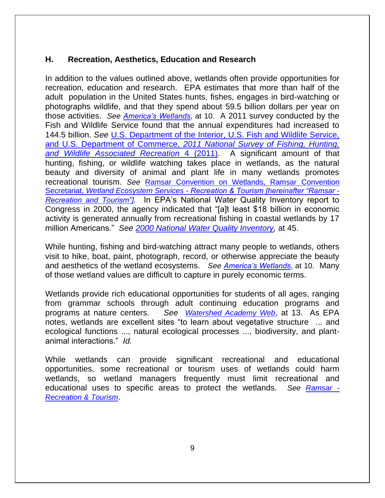# **H. Recreation, Aesthetics, Education and Research**

In addition to the values outlined above, wetlands often provide opportunities for recreation, education and research. EPA estimates that more than half of the adult population in the United States hunts, fishes, engages in bird-watching or photographs wildlife, and that they spend about 59.5 billion dollars per year on those activities. *See [America's Wetlands](https://www.csu.edu/cerc/documents/AmericasWetlands.pdf)*, at 10. A 2011 survey conducted by the Fish and Wildlife Service found that the annual expenditures had increased to 144.5 billion. *See* [U.S. Department of the Interior, U.S. Fish and Wildlife Service,](http://www.census.gov/prod/2012pubs/fhw11-nat.pdf)  and U.S. Department of Commerce, *[2011 National Survey of Fishing, Hunting,](http://www.census.gov/prod/2012pubs/fhw11-nat.pdf)  [and Wildlife Associated Recreation](http://www.census.gov/prod/2012pubs/fhw11-nat.pdf)* 4 (2011).A significant amount of that hunting, fishing, or wildlife watching takes place in wetlands, as the natural beauty and diversity of animal and plant life in many wetlands promotes recreational tourism. *See* [Ramsar Convention on Wetlands, Ramsar Convention](https://www.ramsar.org/sites/default/files/documents/library/services_09_e.pdf)  Secretariat, *Wetland Ecosystem Services - [Recreation & Tourism \[hereinafter "Ramsar -](https://www.ramsar.org/sites/default/files/documents/library/services_09_e.pdf) [Recreation and Tourism"\]](https://www.ramsar.org/sites/default/files/documents/library/services_09_e.pdf).* In EPA's National Water Quality Inventory report to Congress in 2000, the agency indicated that "[a]t least \$18 billion in economic activity is generated annually from recreational fishing in coastal wetlands by 17 million Americans." *See [2000 National Water Quality Inventory,](http://water.epa.gov/lawsregs/guidance/cwa/305b/upload/2003_02_28_305b_2000report_chp5.pdf)* at 45.

While hunting, fishing and bird-watching attract many people to wetlands, others visit to hike, boat, paint, photograph, record, or otherwise appreciate the beauty and aesthetics of the wetland ecosystems. *See [America's Wetlands](https://www.csu.edu/cerc/documents/AmericasWetlands.pdf)*, at 10. Many of those wetland values are difficult to capture in purely economic terms.

Wetlands provide rich educational opportunities for students of all ages, ranging from grammar schools through adult continuing education programs and programs at nature centers. *See [Watershed Academy Web](http://cfpub.epa.gov/watertrain/pdf/modules/WetlandsFunctions.pdf)*, at 13. As EPA notes, wetlands are excellent sites "to learn about vegetative structure ... and ecological functions ..., natural ecological processes ..., biodiversity, and plantanimal interactions." *Id.* 

While wetlands can provide significant recreational and educational opportunities, some recreational or tourism uses of wetlands could harm wetlands, so wetland managers frequently must limit recreational and educational uses to specific areas to protect the wetlands. *See [Ramsar -](https://www.ramsar.org/sites/default/files/documents/library/services_09_e.pdf) [Recreation & Tourism](https://www.ramsar.org/sites/default/files/documents/library/services_09_e.pdf)*.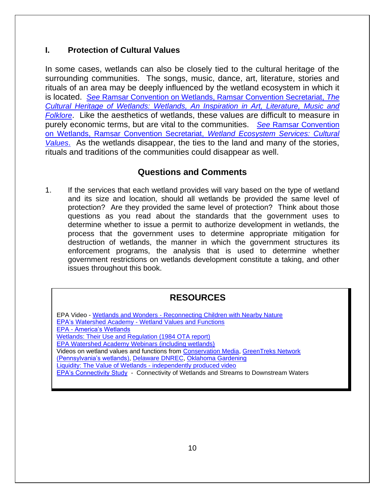# **I. Protection of Cultural Values**

In some cases, wetlands can also be closely tied to the cultural heritage of the surrounding communities. The songs, music, dance, art, literature, stories and rituals of an area may be deeply influenced by the wetland ecosystem in which it is located. *See* [Ramsar Convention on Wetlands, Ramsar Convention Secretariat,](https://www.ramsar.org/sites/default/files/documents/tmp/pdf/info/cultural_heritage_e10.pdf) *The [Cultural Heritage of Wetlands: Wetlands, An Inspiration in Art, Literature, Music and](https://www.ramsar.org/sites/default/files/documents/tmp/pdf/info/cultural_heritage_e10.pdf)  [Folklore](https://www.ramsar.org/sites/default/files/documents/tmp/pdf/info/cultural_heritage_e10.pdf)*. Like the aesthetics of wetlands, these values are difficult to measure in purely economic terms, but are vital to the communities. *See* [Ramsar Convention](https://www.ramsar.org/sites/default/files/documents/library/services_08_e.pdf)  [on Wetlands, Ramsar Convention Secretariat,](https://www.ramsar.org/sites/default/files/documents/library/services_08_e.pdf) *Wetland Ecosystem Services: Cultural [Values](https://www.ramsar.org/sites/default/files/documents/library/services_08_e.pdf)*. As the wetlands disappear, the ties to the land and many of the stories, rituals and traditions of the communities could disappear as well.

# **Questions and Comments**

1. If the services that each wetland provides will vary based on the type of wetland and its size and location, should all wetlands be provided the same level of protection? Are they provided the same level of protection? Think about those questions as you read about the standards that the government uses to determine whether to issue a permit to authorize development in wetlands, the process that the government uses to determine appropriate mitigation for destruction of wetlands, the manner in which the government structures its enforcement programs, the analysis that is used to determine whether government restrictions on wetlands development constitute a taking, and other issues throughout this book.

# **RESOURCES**

EPA Video - Wetlands and Wonders - [Reconnecting Children with Nearby Nature](http://www.youtube.com/watch?v=iX5yT7QSyc4) EPA's Watershed Academy - [Wetland Values and Functions](http://cfpub.epa.gov/watertrain/pdf/modules/WetlandsFunctions.pdf) EPA - [America's Wetlands](https://www.csu.edu/cerc/documents/AmericasWetlands.pdf)  [Wetlands: Their Use and Regulation \(1984 OTA report\)](http://govinfo.library.unt.edu/ota/Ota_4/DATA/1984/8433.PDF)  [EPA Watershed Academy Webinars \(including wetlands\)](http://water.epa.gov/learn/training/wacademy/webcasts_index.cfm) Videos on wetland values and functions from [Conservation Media,](http://www.youtube.com/watch?v=_0XnCG01DDw) [GreenTreks Network](http://www.youtube.com/watch?v=oSxWtwU6wRo)  [\(Pennsylvania's wetlands\),](http://www.youtube.com/watch?v=oSxWtwU6wRo) [Delaware DNREC,](http://www.youtube.com/watch?v=j50E_TyDdio) [Oklahoma Gardening](http://www.youtube.com/watch?v=K6jBAeT-PdU) Liquidity: The Value of Wetlands - independently produced video [EPA's Connectivity Study](http://ofmpub.epa.gov/eims/eimscomm.getfile?p_download_id=523020) - Connectivity of Wetlands and Streams to Downstream Waters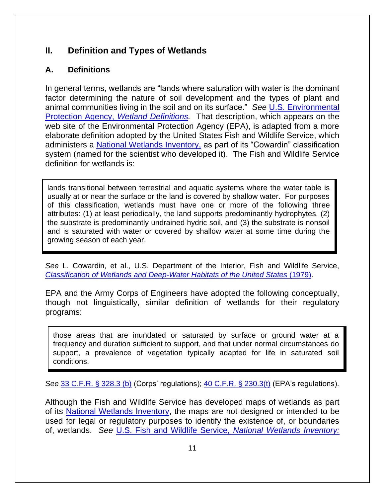# **II. Definition and Types of Wetlands**

# **A. Definitions**

In general terms, wetlands are "lands where saturation with water is the dominant factor determining the nature of soil development and the types of plant and animal communities living in the soil and on its surface." *See* [U.S. Environmental](http://web.archive.org/web/20150301000631/http:/water.epa.gov/lawsregs/guidance/wetlands/definitions.cfm)  Protection Agency, *[Wetland Definitions.](http://web.archive.org/web/20150301000631/http:/water.epa.gov/lawsregs/guidance/wetlands/definitions.cfm)* That description, which appears on the web site of the Environmental Protection Agency (EPA), is adapted from a more elaborate definition adopted by the United States Fish and Wildlife Service, which administers a [National Wetlands Inventory,](http://www.fws.gov/wetlands/) as part of its "Cowardin" classification system (named for the scientist who developed it). The Fish and Wildlife Service definition for wetlands is:

lands transitional between terrestrial and aquatic systems where the water table is usually at or near the surface or the land is covered by shallow water. For purposes of this classification, wetlands must have one or more of the following three attributes: (1) at least periodically, the land supports predominantly hydrophytes, (2) the substrate is predominantly undrained hydric soil, and (3) the substrate is nonsoil and is saturated with water or covered by shallow water at some time during the growing season of each year.

*See* L. Cowardin, et al., U.S. Department of the Interior, Fish and Wildlife Service, *[Classification of Wetlands and Deep-Water Habitats of the United States](http://www.fws.gov/wetlands/Documents/Classification-of-Wetlands-and-Deepwater-Habitats-of-the-United-States.pdf)* (1979).

EPA and the Army Corps of Engineers have adopted the following conceptually, though not linguistically, similar definition of wetlands for their regulatory programs:

those areas that are inundated or saturated by surface or ground water at a frequency and duration sufficient to support, and that under normal circumstances do support, a prevalence of vegetation typically adapted for life in saturated soil conditions.

*See* [33 C.F.R. § 328.3 \(b\)](http://www.law.cornell.edu/cfr/text/33/328.3) (Corps' regulations); [40 C.F.R. § 230.3\(t\)](http://www.law.cornell.edu/cfr/text/40/230.3) (EPA's regulations).

Although the Fish and Wildlife Service has developed maps of wetlands as part of its [National Wetlands Inventory,](http://www.fws.gov/wetlands/) the maps are not designed or intended to be used for legal or regulatory purposes to identify the existence of, or boundaries of, wetlands. *See* [U.S. Fish and Wildlife Service,](http://www.fws.gov/wetlands/FAQs.html) *National Wetlands Inventory:*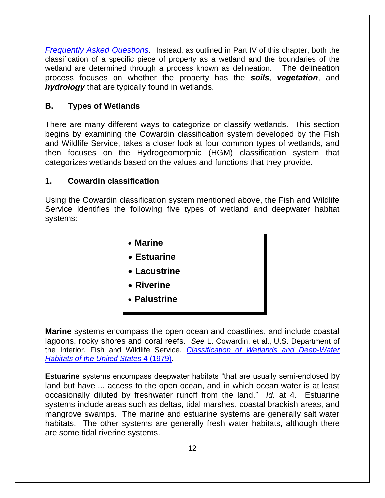*[Frequently Asked Questions](http://www.fws.gov/wetlands/FAQs.html)*. Instead, as outlined in Part IV of this chapter, both the classification of a specific piece of property as a wetland and the boundaries of the wetland are determined through a process known as delineation. The delineation process focuses on whether the property has the *soils*, *vegetation*, and *hydrology* that are typically found in wetlands.

# **B. Types of Wetlands**

There are many different ways to categorize or classify wetlands. This section begins by examining the Cowardin classification system developed by the Fish and Wildlife Service, takes a closer look at four common types of wetlands, and then focuses on the Hydrogeomorphic (HGM) classification system that categorizes wetlands based on the values and functions that they provide.

# **1. Cowardin classification**

Using the Cowardin classification system mentioned above, the Fish and Wildlife Service identifies the following five types of wetland and deepwater habitat systems:



**Marine** systems encompass the open ocean and coastlines, and include coastal lagoons, rocky shores and coral reefs. *See* L. Cowardin, et al., U.S. Department of the Interior, Fish and Wildlife Service, *[Classification of Wetlands and Deep-Water](http://www.fws.gov/wetlands/Documents/Classification-of-Wetlands-and-Deepwater-Habitats-of-the-United-States.pdf)  [Habitats of the United States](http://www.fws.gov/wetlands/Documents/Classification-of-Wetlands-and-Deepwater-Habitats-of-the-United-States.pdf)* 4 (1979).

**Estuarine** systems encompass deepwater habitats "that are usually semi-enclosed by land but have ... access to the open ocean, and in which ocean water is at least occasionally diluted by freshwater runoff from the land." *Id.* at 4. Estuarine systems include areas such as deltas, tidal marshes, coastal brackish areas, and mangrove swamps. The marine and estuarine systems are generally salt water habitats. The other systems are generally fresh water habitats, although there are some tidal riverine systems.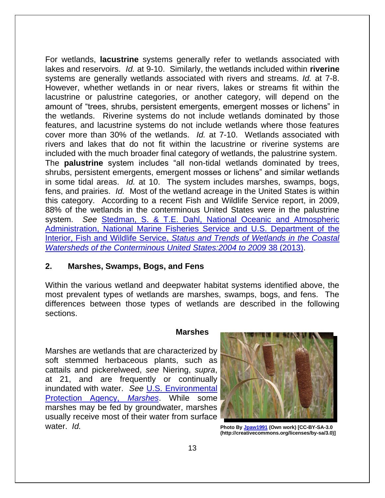For wetlands, **lacustrine** systems generally refer to wetlands associated with lakes and reservoirs. *Id.* at 9-10. Similarly, the wetlands included within **riverine** systems are generally wetlands associated with rivers and streams. *Id.* at 7-8. However, whether wetlands in or near rivers, lakes or streams fit within the lacustrine or palustrine categories, or another category, will depend on the amount of "trees, shrubs, persistent emergents, emergent mosses or lichens" in the wetlands. Riverine systems do not include wetlands dominated by those features, and lacustrine systems do not include wetlands where those features cover more than 30% of the wetlands. *Id.* at 7-10. Wetlands associated with rivers and lakes that do not fit within the lacustrine or riverine systems are included with the much broader final category of wetlands, the palustrine system. The **palustrine** system includes "all non-tidal wetlands dominated by trees, shrubs, persistent emergents, emergent mosses or lichens" and similar wetlands in some tidal areas. *Id.* at 10. The system includes marshes, swamps, bogs, fens, and prairies. *Id.* Most of the wetland acreage in the United States is within this category. According to a recent Fish and Wildlife Service report, in 2009, 88% of the wetlands in the conterminous United States were in the palustrine system. *See* [Stedman, S. & T.E. Dahl, National Oceanic](https://www.fws.gov/wetlands/Documents/Status-and-Trends-of-Wetlands-in-the-Conterminous-United-States-2004-to-2009.pdf) and Atmospheric [Administration, National Marine Fisheries Service and U.S. Department of the](https://www.fws.gov/wetlands/Documents/Status-and-Trends-of-Wetlands-in-the-Conterminous-United-States-2004-to-2009.pdf)  Interior, Fish and Wildlife Service, *[Status and Trends of Wetlands in the Coastal](https://www.fws.gov/wetlands/Documents/Status-and-Trends-of-Wetlands-in-the-Conterminous-United-States-2004-to-2009.pdf)  Watersheds of the Conterminous United States: 2004 to 2009 38 (2013).* 

#### **2. Marshes, Swamps, Bogs, and Fens**

Within the various wetland and deepwater habitat systems identified above, the most prevalent types of wetlands are marshes, swamps, bogs, and fens. The differences between those types of wetlands are described in the following sections.

#### **Marshes**

Marshes are wetlands that are characterized by soft stemmed herbaceous plants, such as cattails and pickerelweed, *see* Niering, *supra*, at 21, and are frequently or continually inundated with water. *See* [U.S. Environmental](http://water.epa.gov/type/wetlands/marsh.cfm)  [Protection Agency,](http://water.epa.gov/type/wetlands/marsh.cfm) *Marshes*. While some marshes may be fed by groundwater, marshes usually receive most of their water from surface water. *Id.* **Photo By [Jpaw1991](http://commons.wikimedia.org/wiki/File:Cattails.jpg) (Own work) [CC-BY-SA-3.0** 



**(http://creativecommons.org/licenses/by-sa/3.0)]**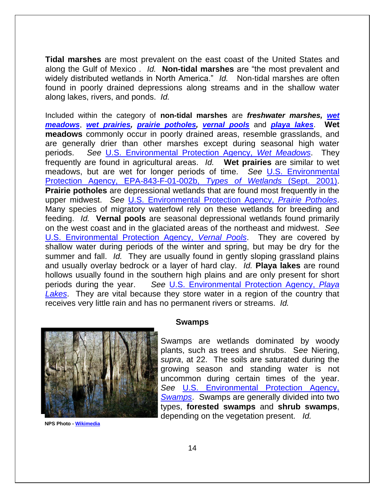**Tidal marshes** are most prevalent on the east coast of the United States and along the Gulf of Mexico . *Id.* **Non-tidal marshes** are "the most prevalent and widely distributed wetlands in North America." *Id.* Non-tidal marshes are often found in poorly drained depressions along streams and in the shallow water along lakes, rivers, and ponds. *Id.*

Included within the category of **non-tidal marshes** are *freshwater marshes, [wet](http://en.wikipedia.org/wiki/wet_meadow)  [meadows](http://en.wikipedia.org/wiki/wet_meadow)*, *[wet prairies,](https://www.flickr.com/photos/environmentflorida/2350692122/) [prairie potholes,](http://www.fws.gov/midwest/news/707.html) [vernal pools](http://en.wikipedia.org/wiki/Vernal_pool)* and *[playa lakes](http://water.epa.gov/type/wetlands/playa.cfm)*. **Wet meadows** commonly occur in poorly drained areas, resemble grasslands, and are generally drier than other marshes except during seasonal high water periods. *See* U.S. [Environmental Protection Agency,](http://water.epa.gov/type/wetlands/wmeadows.cfm) *Wet Meadows*. They frequently are found in agricultural areas. *Id.* **Wet prairies** are similar to wet meadows, but are wet for longer periods of time. *See* [U.S. Environmental](http://web.archive.org/web/20150418145219/http:/water.epa.gov/type/wetlands/upload/2004_10_25_wetlands_types.pdf) [Protection Agency, EPA-843-F-01-002b,](http://web.archive.org/web/20150418145219/http:/water.epa.gov/type/wetlands/upload/2004_10_25_wetlands_types.pdf) *Types of Wetlands* (Sept. 2001). **Prairie potholes** are depressional wetlands that are found most frequently in the upper midwest. *See* [U.S. Environmental Protection Agency,](http://water.epa.gov/type/wetlands/potholes.cfm) *Prairie Potholes*. Many species of migratory waterfowl rely on these wetlands for breeding and feeding. *Id.* **Vernal pools** are seasonal depressional wetlands found primarily on the west coast and in the glaciated areas of the northeast and midwest. *See* [U.S. Environmental Protection Agency,](http://water.epa.gov/type/wetlands/vernal.cfm) *Vernal Pools*. They are covered by shallow water during periods of the winter and spring, but may be dry for the summer and fall. *Id.* They are usually found in gently sloping grassland plains and usually overlay bedrock or a layer of hard clay. *Id.* **Playa lakes** are round hollows usually found in the southern high plains and are only present for short periods during the year. *See* [U.S. Environmental Protection Agency,](http://water.epa.gov/type/wetlands/playa.cfm) *Playa [Lakes](http://water.epa.gov/type/wetlands/playa.cfm)*. They are vital because they store water in a region of the country that receives very little rain and has no permanent rivers or streams. *Id.* 



**NPS Photo - [Wikimedia](http://commons.wikimedia.org/wiki/File:Big_thicket.jpg)**

#### **Swamps**

Swamps are wetlands dominated by woody plants, such as trees and shrubs. S*ee* Niering, *supra*, at 22. The soils are saturated during the growing season and standing water is not uncommon during certain times of the year. *See* [U.S. Environmental Protection Agency,](http://water.epa.gov/type/wetlands/swamp.cfm)  *[Swamps](http://water.epa.gov/type/wetlands/swamp.cfm)*. Swamps are generally divided into two types, **forested swamps** and **shrub swamps**, depending on the vegetation present. *Id.*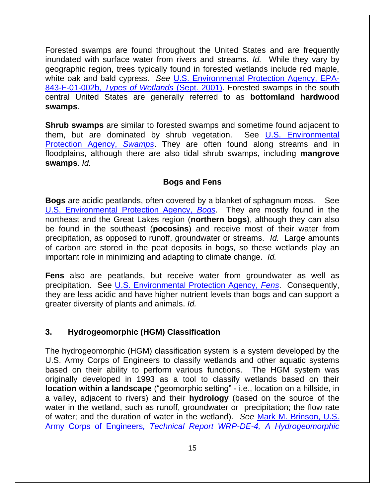Forested swamps are found throughout the United States and are frequently inundated with surface water from rivers and streams. *Id.* While they vary by geographic region, trees typically found in forested wetlands include red maple, white oak and bald cypress. *See* [U.S. Environmental Protection Agency, EPA-](http://web.archive.org/web/20150418145219/http:/water.epa.gov/type/wetlands/upload/2004_10_25_wetlands_types.pdf)843-F-01-002b, *[Types of Wetlands](http://web.archive.org/web/20150418145219/http:/water.epa.gov/type/wetlands/upload/2004_10_25_wetlands_types.pdf)* (Sept. 2001). Forested swamps in the south central United States are generally referred to as **bottomland hardwood swamps**.

**Shrub swamps** are similar to forested swamps and sometime found adjacent to them, but are dominated by shrub vegetation. See U.S. Environmental [Protection Agency,](http://water.epa.gov/type/wetlands/swamp.cfm) *Swamps*. They are often found along streams and in floodplains, although there are also tidal shrub swamps, including **mangrove swamps**. *Id.* 

# **Bogs and Fens**

**Bogs** are acidic peatlands, often covered by a blanket of sphagnum moss. See [U.S. Environmental Protection Agency,](http://water.epa.gov/type/wetlands/bog.cfm) *Bogs*. They are mostly found in the northeast and the Great Lakes region (**northern bogs**), although they can also be found in the southeast (**pocosins**) and receive most of their water from precipitation, as opposed to runoff, groundwater or streams. *Id.* Large amounts of carbon are stored in the peat deposits in bogs, so these wetlands play an important role in minimizing and adapting to climate change. *Id.* 

**Fens** also are peatlands, but receive water from groundwater as well as precipitation. See [U.S. Environmental Protection Agency,](http://water.epa.gov/type/wetlands/fen.cfm) *Fens*. Consequently, they are less acidic and have higher nutrient levels than bogs and can support a greater diversity of plants and animals. *Id.* 

# **3. Hydrogeomorphic (HGM) Classification**

The hydrogeomorphic (HGM) classification system is a system developed by the U.S. Army Corps of Engineers to classify wetlands and other aquatic systems based on their ability to perform various functions. The HGM system was originally developed in 1993 as a tool to classify wetlands based on their **location within a landscape** ("geomorphic setting" - i.e., location on a hillside, in a valley, adjacent to rivers) and their **hydrology** (based on the source of the water in the wetland, such as runoff, groundwater or precipitation; the flow rate of water; and the duration of water in the wetland). *See* [Mark M. Brinson, U.S.](https://wetlands.el.erdc.dren.mil/pdfs/wrpde4.pdf#view=fit&pagemode=none)  Army Corps of Engineers*[, Technical Report WRP-DE-4, A Hydrogeomorphic](https://wetlands.el.erdc.dren.mil/pdfs/wrpde4.pdf#view=fit&pagemode=none)*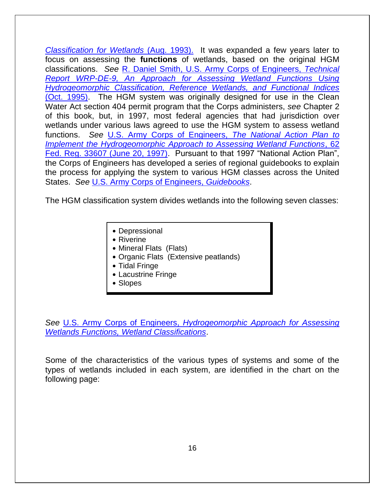*[Classification for Wetlands](https://wetlands.el.erdc.dren.mil/pdfs/wrpde4.pdf#view=fit&pagemode=none)* (Aug. 1993). It was expanded a few years later to focus on assessing the **functions** of wetlands, based on the original HGM classifications. *See* [R. Daniel Smith, U.S. Army Corps of Engineers,](https://wetlands.el.erdc.dren.mil/pdfs/wrpde9.pdf#view=fit&pagemode=none) *Technical [Report WRP-DE-9, An Approach for Assessing Wetland Functions Using](https://wetlands.el.erdc.dren.mil/pdfs/wrpde9.pdf#view=fit&pagemode=none)  [Hydrogeomorphic Classification, Reference Wetlands, and Functional Indices](https://wetlands.el.erdc.dren.mil/pdfs/wrpde9.pdf#view=fit&pagemode=none)*  [\(Oct. 1995\).](https://wetlands.el.erdc.dren.mil/pdfs/wrpde9.pdf#view=fit&pagemode=none) The HGM system was originally designed for use in the Clean Water Act section 404 permit program that the Corps administers, *see* Chapter 2 of this book, but, in 1997, most federal agencies that had jurisdiction over wetlands under various laws agreed to use the HGM system to assess wetland functions. *See* [U.S. Army Corps of Engineers,](http://www.epa.gov/cwa-404/national-action-plan-implement-hydrogeomorphic-approach-assessing-wetland-functions) *The National Action Plan to [Implement the Hydrogeomorphic Approach to Assessing Wetland Functions](http://www.epa.gov/cwa-404/national-action-plan-implement-hydrogeomorphic-approach-assessing-wetland-functions)*, 62 [Fed. Reg. 33607 \(June 20, 1997\).](http://www.epa.gov/cwa-404/national-action-plan-implement-hydrogeomorphic-approach-assessing-wetland-functions) Pursuant to that 1997 "National Action Plan", the Corps of Engineers has developed a series of regional guidebooks to explain the process for applying the system to various HGM classes across the United States. *See* [U.S. Army Corps of Engineers,](https://wetlands.el.erdc.dren.mil/guidebooks.cfm) *Guidebooks*.

The HGM classification system divides wetlands into the following seven classes:

- Depressional
- $\bullet$  Riverine
- Mineral Flats (Flats)
- Organic Flats (Extensive peatlands)
- Tidal Fringe
- Lacustrine Fringe
- Slopes

*See* U.S. Army Corps of Engineers, *[Hydrogeomorphic Approach for Assessing](https://wetlands.el.erdc.dren.mil/class.html)  [Wetlands Functions, Wetland Classifications](https://wetlands.el.erdc.dren.mil/class.html)*.

Some of the characteristics of the various types of systems and some of the types of wetlands included in each system, are identified in the chart on the following page: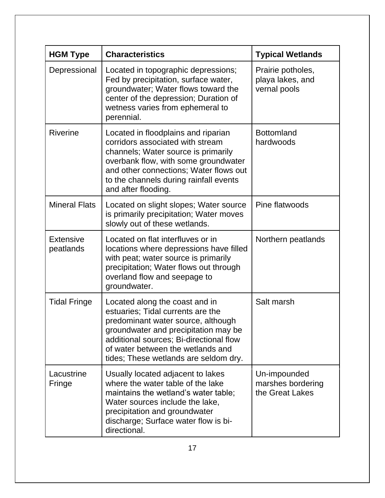| <b>HGM Type</b>               | <b>Characteristics</b>                                                                                                                                                                                                                                                     | <b>Typical Wetlands</b>                               |
|-------------------------------|----------------------------------------------------------------------------------------------------------------------------------------------------------------------------------------------------------------------------------------------------------------------------|-------------------------------------------------------|
| Depressional                  | Located in topographic depressions;<br>Fed by precipitation, surface water,<br>groundwater; Water flows toward the<br>center of the depression; Duration of<br>wetness varies from ephemeral to<br>perennial.                                                              | Prairie potholes,<br>playa lakes, and<br>vernal pools |
| <b>Riverine</b>               | Located in floodplains and riparian<br>corridors associated with stream<br>channels; Water source is primarily<br>overbank flow, with some groundwater<br>and other connections; Water flows out<br>to the channels during rainfall events<br>and after flooding.          | <b>Bottomland</b><br>hardwoods                        |
| <b>Mineral Flats</b>          | Located on slight slopes; Water source<br>is primarily precipitation; Water moves<br>slowly out of these wetlands.                                                                                                                                                         | Pine flatwoods                                        |
| <b>Extensive</b><br>peatlands | Located on flat interfluves or in<br>locations where depressions have filled<br>with peat; water source is primarily<br>precipitation; Water flows out through<br>overland flow and seepage to<br>groundwater.                                                             | Northern peatlands                                    |
| <b>Tidal Fringe</b>           | Located along the coast and in<br>estuaries; Tidal currents are the<br>predominant water source, although<br>groundwater and precipitation may be<br>additional sources; Bi-directional flow<br>of water between the wetlands and<br>tides; These wetlands are seldom dry. | Salt marsh                                            |
| Lacustrine<br><b>Fringe</b>   | Usually located adjacent to lakes<br>where the water table of the lake<br>maintains the wetland's water table;<br>Water sources include the lake,<br>precipitation and groundwater<br>discharge; Surface water flow is bi-<br>directional.                                 | Un-impounded<br>marshes bordering<br>the Great Lakes  |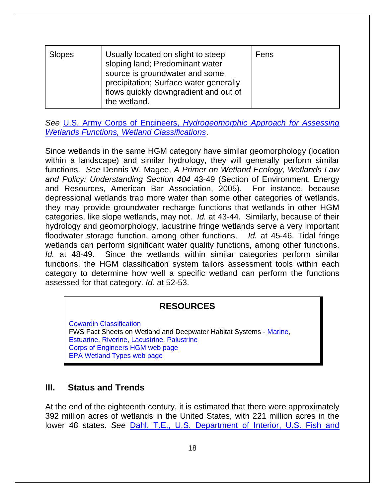| Slopes | Usually located on slight to steep<br>sloping land; Predominant water<br>source is groundwater and some<br>precipitation; Surface water generally<br>flows quickly downgradient and out of<br>the wetland. | Fens |
|--------|------------------------------------------------------------------------------------------------------------------------------------------------------------------------------------------------------------|------|
|--------|------------------------------------------------------------------------------------------------------------------------------------------------------------------------------------------------------------|------|

*See* U.S. Army Corps of Engineers, *[Hydrogeomorphic Approach for Assessing](https://wetlands.el.erdc.dren.mil/class.html)  [Wetlands Functions, Wetland Classifications](https://wetlands.el.erdc.dren.mil/class.html)*.

Since wetlands in the same HGM category have similar geomorphology (location within a landscape) and similar hydrology, they will generally perform similar functions. *See* Dennis W. Magee, *A Primer on Wetland Ecology, Wetlands Law and Policy: Understanding Section 404* 43-49 (Section of Environment, Energy and Resources, American Bar Association, 2005). For instance, because depressional wetlands trap more water than some other categories of wetlands, they may provide groundwater recharge functions that wetlands in other HGM categories, like slope wetlands, may not. *Id.* at 43-44. Similarly, because of their hydrology and geomorphology, lacustrine fringe wetlands serve a very important floodwater storage function, among other functions. *Id.* at 45-46. Tidal fringe wetlands can perform significant water quality functions, among other functions. *Id.* at 48-49. Since the wetlands within similar categories perform similar functions, the HGM classification system tailors assessment tools within each category to determine how well a specific wetland can perform the functions assessed for that category. *Id.* at 52-53.

# **RESOURCES**

[Cowardin Classification](http://www.fws.gov/wetlands/Documents/Classification-of-Wetlands-and-Deepwater-Habitats-of-the-United-States.pdf)  FWS Fact Sheets on Wetland and Deepwater Habitat Systems - [Marine,](http://www.fws.gov/wetlands/documents/classwet/marine.htm) [Estuarine,](http://www.fws.gov/wetlands/documents/classwet/estuarin.htm) [Riverine,](http://www.fws.gov/wetlands/documents/classwet/riverine.htm) [Lacustrine,](http://www.fws.gov/wetlands/documents/classwet/lacustri.htm) [Palustrine](http://www.fws.gov/wetlands/documents/classwet/palustri.htm) [Corps of Engineers HGM web page](http://el.erdc.usace.army.mil/wetlands/hgmhp.html)  [EPA Wetland Types web page](http://water.epa.gov/type/wetlands/types_index.cfm) 

# **III. Status and Trends**

At the end of the eighteenth century, it is estimated that there were approximately 392 million acres of wetlands in the United States, with 221 million acres in the lower 48 states. *See* [Dahl, T.E., U.S. Department of Interior, U.S. Fish and](http://www.fws.gov/wetlands/Documents/Wetlands-Losses-in-the-United-States-1780s-to-1980s.pdf)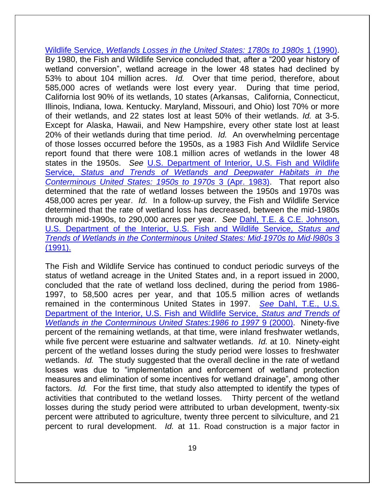Wildlife Service, *[Wetlands Losses in the United States: 1780s to 1980s](http://www.fws.gov/wetlands/Documents/Wetlands-Losses-in-the-United-States-1780s-to-1980s.pdf)* 1 (1990). By 1980, the Fish and Wildlife Service concluded that, after a "200 year history of wetland conversion", wetland acreage in the lower 48 states had declined by 53% to about 104 million acres. *Id.* Over that time period, therefore, about 585,000 acres of wetlands were lost every year. During that time period, California lost 90% of its wetlands, 10 states (Arkansas, California, Connecticut, Illinois, Indiana, Iowa. Kentucky. Maryland, Missouri, and Ohio) lost 70% or more of their wetlands, and 22 states lost at least 50% of their wetlands. *Id.* at 3-5. Except for Alaska, Hawaii, and New Hampshire, every other state lost at least 20% of their wetlands during that time period. *Id.* An overwhelming percentage of those losses occurred before the 1950s, as a 1983 Fish And Wildlife Service report found that there were 108.1 million acres of wetlands in the lower 48 states in the 1950s. *See* [U.S. Department of Interior, U.S. Fish and Wildlife](http://www.fws.gov/wetlands/Documents/Status-and-Trends-of-Wetlands-and-Deepwater-Habitats-in-the-Conterminous-United-States-1950s-to-1970s.pdf)  Service, *[Status and Trends of Wetlands and Deepwater Habitats in the](http://www.fws.gov/wetlands/Documents/Status-and-Trends-of-Wetlands-and-Deepwater-Habitats-in-the-Conterminous-United-States-1950s-to-1970s.pdf)  [Conterminous United States: 1950s to 1970s](http://www.fws.gov/wetlands/Documents/Status-and-Trends-of-Wetlands-and-Deepwater-Habitats-in-the-Conterminous-United-States-1950s-to-1970s.pdf)* 3 (Apr. 1983). That report also determined that the rate of wetland losses between the 1950s and 1970s was 458,000 acres per year. *Id.* In a follow-up survey, the Fish and Wildlife Service determined that the rate of wetland loss has decreased, between the mid-1980s through mid-1990s, to 290,000 acres per year. *See* [Dahl, T.E. & C.E. Johnson,](http://www.fws.gov/wetlands/Documents/Wetlands-Status-and-Trends-in-the-Conterminous-United-States-Mid-1970s-to-Mid-1980s.pdf)  [U.S. Department of the Interior, U.S. Fish and Wildlife Service,](http://www.fws.gov/wetlands/Documents/Wetlands-Status-and-Trends-in-the-Conterminous-United-States-Mid-1970s-to-Mid-1980s.pdf) *Status and Trends [of Wetlands in the Conterminous United States: Mid·1970s to Mid·l980s](http://www.fws.gov/wetlands/Documents/Wetlands-Status-and-Trends-in-the-Conterminous-United-States-Mid-1970s-to-Mid-1980s.pdf)* 3 [\(1991\).](http://www.fws.gov/wetlands/Documents/Wetlands-Status-and-Trends-in-the-Conterminous-United-States-Mid-1970s-to-Mid-1980s.pdf)

The Fish and Wildlife Service has continued to conduct periodic surveys of the status of wetland acreage in the United States and, in a report issued in 2000, concluded that the rate of wetland loss declined, during the period from 1986- 1997, to 58,500 acres per year, and that 105.5 million acres of wetlands remained in the conterminous United States in 1997. *See* [Dahl, T.E., U.S.](http://www.fws.gov/wetlands/Documents/Status-and-Trends-of-Wetlands-in-the-Conterminous-United-States-1986-to-1997.pdf)  [Department of the Interior, U.S. Fish and Wildlife Service,](http://www.fws.gov/wetlands/Documents/Status-and-Trends-of-Wetlands-in-the-Conterminous-United-States-1986-to-1997.pdf) *Status and Trends of [Wetlands in the Conterminous United States:1986 to 1997](http://www.fws.gov/wetlands/Documents/Status-and-Trends-of-Wetlands-in-the-Conterminous-United-States-1986-to-1997.pdf)* 9 (2000). Ninety-five percent of the remaining wetlands, at that time, were inland freshwater wetlands, while five percent were estuarine and saltwater wetlands. *Id.* at 10. Ninety-eight percent of the wetland losses during the study period were losses to freshwater wetlands. *Id.* The study suggested that the overall decline in the rate of wetland losses was due to "implementation and enforcement of wetland protection measures and elimination of some incentives for wetland drainage", among other factors. *Id.* For the first time, that study also attempted to identify the types of activities that contributed to the wetland losses. Thirty percent of the wetland losses during the study period were attributed to urban development, twenty-six percent were attributed to agriculture, twenty three percent to silviculture, and 21 percent to rural development. *Id.* at 11. Road construction is a major factor in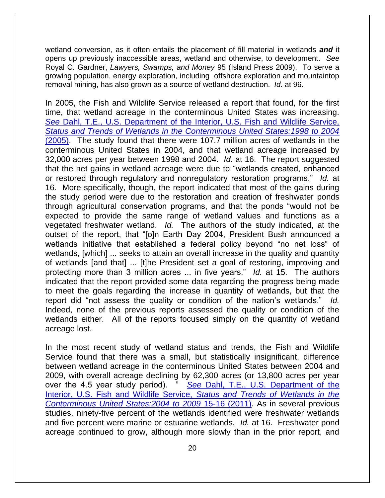wetland conversion, as it often entails the placement of fill material in wetlands *and* it opens up previously inaccessible areas, wetland and otherwise, to development. *See*  Royal C. Gardner, *Lawyers, Swamps, and Money* 95 (Island Press 2009). To serve a growing population, energy exploration, including offshore exploration and mountaintop removal mining, has also grown as a source of wetland destruction. *Id.* at 96.

In 2005, the Fish and Wildlife Service released a report that found, for the first time, that wetland acreage in the conterminous United States was increasing. *See* [Dahl, T.E., U.S. Department of the Interior, U.S. Fish and Wildlife Service,](http://www.fws.gov/wetlands/Documents/Status-and-Trends-of-Wetlands-in-the-Conterminous-United-States-1998-to-2004.pdf) *[Status and Trends of Wetlands in the Conterminous United States:1998 to 2004](http://www.fws.gov/wetlands/Documents/Status-and-Trends-of-Wetlands-in-the-Conterminous-United-States-1998-to-2004.pdf)* [\(2005\).](http://www.fws.gov/wetlands/Documents/Status-and-Trends-of-Wetlands-in-the-Conterminous-United-States-1998-to-2004.pdf) The study found that there were 107.7 million acres of wetlands in the conterminous United States in 2004, and that wetland acreage increased by 32,000 acres per year between 1998 and 2004. *Id.* at 16. The report suggested that the net gains in wetland acreage were due to "wetlands created, enhanced or restored through regulatory and nonregulatory restoration programs." *Id.* at 16. More specifically, though, the report indicated that most of the gains during the study period were due to the restoration and creation of freshwater ponds through agricultural conservation programs, and that the ponds "would not be expected to provide the same range of wetland values and functions as a vegetated freshwater wetland. *Id.* The authors of the study indicated, at the outset of the report, that "[o]n Earth Day 2004, President Bush announced a wetlands initiative that established a federal policy beyond "no net loss" of wetlands, [which] ... seeks to attain an overall increase in the quality and quantity of wetlands [and that] ... [t]he President set a goal of restoring, improving and protecting more than 3 million acres ... in five years." *Id.* at 15. The authors indicated that the report provided some data regarding the progress being made to meet the goals regarding the increase in quantity of wetlands, but that the report did "not assess the quality or condition of the nation's wetlands." Indeed, none of the previous reports assessed the quality or condition of the wetlands either. All of the reports focused simply on the quantity of wetland acreage lost.

In the most recent study of wetland status and trends, the Fish and Wildlife Service found that there was a small, but statistically insignificant, difference between wetland acreage in the conterminous United States between 2004 and 2009, with overall acreage declining by 62,300 acres (or 13,800 acres per year over the 4.5 year study period). " *See* [Dahl, T.E., U.S. Department of the](http://www.fws.gov/wetlands/Documents/Status-and-Trends-of-Wetlands-in-the-Conterminous-United-States-2004-to-2009.pdf)  [Interior, U.S. Fish and Wildlife Service,](http://www.fws.gov/wetlands/Documents/Status-and-Trends-of-Wetlands-in-the-Conterminous-United-States-2004-to-2009.pdf) *Status and Trends of Wetlands in the [Conterminous United States:2004 to 2009](http://www.fws.gov/wetlands/Documents/Status-and-Trends-of-Wetlands-in-the-Conterminous-United-States-2004-to-2009.pdf)* 15-16 (2011). As in several previous studies, ninety-five percent of the wetlands identified were freshwater wetlands and five percent were marine or estuarine wetlands. *Id.* at 16. Freshwater pond acreage continued to grow, although more slowly than in the prior report, and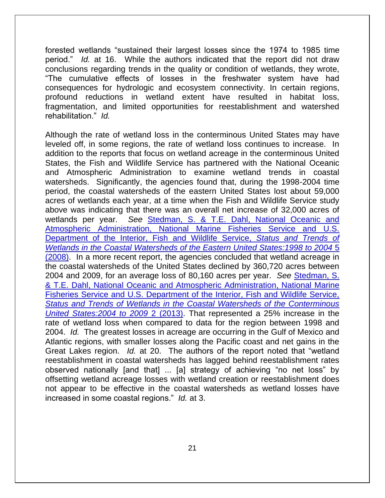forested wetlands "sustained their largest losses since the 1974 to 1985 time period." *Id.* at 16. While the authors indicated that the report did not draw conclusions regarding trends in the quality or condition of wetlands, they wrote, "The cumulative effects of losses in the freshwater system have had consequences for hydrologic and ecosystem connectivity. In certain regions, profound reductions in wetland extent have resulted in habitat loss, fragmentation, and limited opportunities for reestablishment and watershed rehabilitation." *Id.* 

Although the rate of wetland loss in the conterminous United States may have leveled off, in some regions, the rate of wetland loss continues to increase. In addition to the reports that focus on wetland acreage in the conterminous United States, the Fish and Wildlife Service has partnered with the National Oceanic and Atmospheric Administration to examine wetland trends in coastal watersheds. Significantly, the agencies found that, during the 1998-2004 time period, the coastal watersheds of the eastern United States lost about 59,000 acres of wetlands each year, at a time when the Fish and Wildlife Service study above was indicating that there was an overall net increase of 32,000 acres of wetlands per year. *See* [Stedman, S. & T.E. Dahl, National Oceanic and](http://www.fws.gov/wetlands/Documents/Status-and-Trends-of-Wetlands-in-the-Coastal-Watersheds-of-the-Eastern-United-States-1998-to-2004.pdf)  [Atmospheric Administration, National Marine Fisheries Service and U.S.](http://www.fws.gov/wetlands/Documents/Status-and-Trends-of-Wetlands-in-the-Coastal-Watersheds-of-the-Eastern-United-States-1998-to-2004.pdf)  [Department of the Interior, Fish and Wildlife Service,](http://www.fws.gov/wetlands/Documents/Status-and-Trends-of-Wetlands-in-the-Coastal-Watersheds-of-the-Eastern-United-States-1998-to-2004.pdf) *Status and Trends of [Wetlands in the Coastal Watersheds of the Eastern United States:1998 to 2004](http://www.fws.gov/wetlands/Documents/Status-and-Trends-of-Wetlands-in-the-Coastal-Watersheds-of-the-Eastern-United-States-1998-to-2004.pdf)* 5 [\(2008\).](http://www.fws.gov/wetlands/Documents/Status-and-Trends-of-Wetlands-in-the-Coastal-Watersheds-of-the-Eastern-United-States-1998-to-2004.pdf) In a more recent report, the agencies concluded that wetland acreage in the coastal watersheds of the United States declined by 360,720 acres between 2004 and 2009, for an average loss of 80,160 acres per year. *See* [Stedman, S.](https://www.fws.gov/wetlands/Documents/Status-and-Trends-of-Wetlands-in-the-Conterminous-United-States-2004-to-2009.pdf)  [& T.E. Dahl, National Oceanic and Atmospheric Administration, National Marine](https://www.fws.gov/wetlands/Documents/Status-and-Trends-of-Wetlands-in-the-Conterminous-United-States-2004-to-2009.pdf)  [Fisheries Service and U.S. Department of the Interior, Fish and Wildlife Service,](https://www.fws.gov/wetlands/Documents/Status-and-Trends-of-Wetlands-in-the-Conterminous-United-States-2004-to-2009.pdf)  *[Status and Trends of Wetlands in the Coastal Watersheds of the Conterminous](https://www.fws.gov/wetlands/Documents/Status-and-Trends-of-Wetlands-in-the-Conterminous-United-States-2004-to-2009.pdf)  [United States:2004 to 2009](https://www.fws.gov/wetlands/Documents/Status-and-Trends-of-Wetlands-in-the-Conterminous-United-States-2004-to-2009.pdf)* 2 (2013). That represented a 25% increase in the rate of wetland loss when compared to data for the region between 1998 and 2004. *Id.* The greatest losses in acreage are occurring in the Gulf of Mexico and Atlantic regions, with smaller losses along the Pacific coast and net gains in the Great Lakes region. *Id.* at 20. The authors of the report noted that "wetland reestablishment in coastal watersheds has lagged behind reestablishment rates observed nationally [and that] ... [a] strategy of achieving "no net loss" by offsetting wetland acreage losses with wetland creation or reestablishment does not appear to be effective in the coastal watersheds as wetland losses have increased in some coastal regions." *Id.* at 3.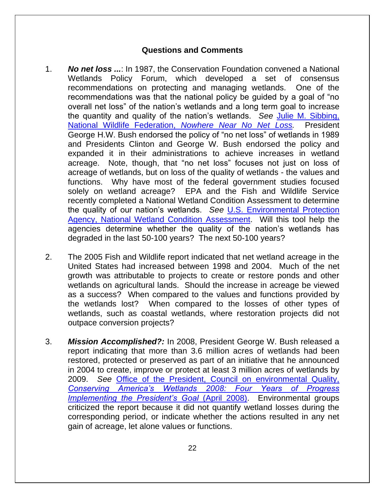# **Questions and Comments**

- 1. *No net loss ...*: In 1987, the Conservation Foundation convened a National Wetlands Policy Forum, which developed a set of consensus recommendations on protecting and managing wetlands. One of the recommendations was that the national policy be guided by a goal of "no overall net loss" of the nation's wetlands and a long term goal to increase the quantity and quality of the nation's wetlands. *See* [Julie M. Sibbing,](https://www.nwf.org/~/media/PDFs/Wildlife/Nowhere_Near_No-Net-Loss.pdf)  National Wildlife Federation, *[Nowhere Near No Net Loss.](https://www.nwf.org/~/media/PDFs/Wildlife/Nowhere_Near_No-Net-Loss.pdf)* President George H.W. Bush endorsed the policy of "no net loss" of wetlands in 1989 and Presidents Clinton and George W. Bush endorsed the policy and expanded it in their administrations to achieve increases in wetland acreage. Note, though, that "no net loss" focuses not just on loss of acreage of wetlands, but on loss of the quality of wetlands - the values and functions. Why have most of the federal government studies focused solely on wetland acreage? EPA and the Fish and Wildlife Service recently completed a National Wetland Condition Assessment to determine the quality of our nation's wetlands. *See* [U.S. Environmental Protection](http://water.epa.gov/type/wetlands/assessment/survey/)  [Agency, National Wetland Condition Assessment.](http://water.epa.gov/type/wetlands/assessment/survey/) Will this tool help the agencies determine whether the quality of the nation's wetlands has degraded in the last 50-100 years? The next 50-100 years?
- 2. The 2005 Fish and Wildlife report indicated that net wetland acreage in the United States had increased between 1998 and 2004. Much of the net growth was attributable to projects to create or restore ponds and other wetlands on agricultural lands. Should the increase in acreage be viewed as a success? When compared to the values and functions provided by the wetlands lost? When compared to the losses of other types of wetlands, such as coastal wetlands, where restoration projects did not outpace conversion projects?
- 3. *Mission Accomplished?:* In 2008, President George W. Bush released a report indicating that more than 3.6 million acres of wetlands had been restored, protected or preserved as part of an initiative that he announced in 2004 to create, improve or protect at least 3 million acres of wetlands by 2009. *See* [Office of the President, Council on environmental Quality,](http://www.fws.gov/wetlands/Documents%5CConserving-Americas-Wetlands-2008-Four-Years-of-Partnering-Resulted-in-Accomplishing-the-Presidents-Goal.pdf)  *[Conserving America's Wetlands 2008: Four Years of Progress](http://www.fws.gov/wetlands/Documents%5CConserving-Americas-Wetlands-2008-Four-Years-of-Partnering-Resulted-in-Accomplishing-the-Presidents-Goal.pdf)  [Implementing the President's Goal](http://www.fws.gov/wetlands/Documents%5CConserving-Americas-Wetlands-2008-Four-Years-of-Partnering-Resulted-in-Accomplishing-the-Presidents-Goal.pdf)* (April 2008). Environmental groups criticized the report because it did not quantify wetland losses during the corresponding period, or indicate whether the actions resulted in any net gain of acreage, let alone values or functions.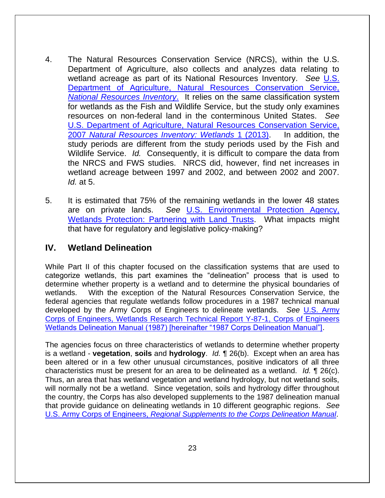- 4. The Natural Resources Conservation Service (NRCS), within the U.S. Department of Agriculture, also collects and analyzes data relating to wetland acreage as part of its National Resources Inventory. *See* [U.S.](http://www.nrcs.usda.gov/wps/portal/nrcs/main/national/technical/nra/nri/)  [Department of Agriculture, Natural Resources Conservation Service,](http://www.nrcs.usda.gov/wps/portal/nrcs/main/national/technical/nra/nri/)  *[National Resources Inventory](http://www.nrcs.usda.gov/wps/portal/nrcs/main/national/technical/nra/nri/)*. It relies on the same classification system for wetlands as the Fish and Wildlife Service, but the study only examines resources on non-federal land in the conterminous United States. *Se[e](http://www.nrcs.usda.gov/Internet/FSE_DOCUMENTS/stelprdb1117255.pdf)* [U.S. Department of Agriculture, Natural Resources Conservation Service,](http://www.nrcs.usda.gov/Internet/FSE_DOCUMENTS/stelprdb1117255.pdf)  2007 *[Natural Resources Inventory: Wetlands](http://www.nrcs.usda.gov/Internet/FSE_DOCUMENTS/stelprdb1117255.pdf)* 1 (2013). In addition, the study periods are different from the study periods used by the Fish and Wildlife Service. *Id.* Consequently, it is difficult to compare the data from the NRCS and FWS studies. NRCS did, however, find net increases in wetland acreage between 1997 and 2002, and between 2002 and 2007. *Id.* at 5.
- 5. It is estimated that 75% of the remaining wetlands in the lower 48 states are on private lands. *See* [U.S. Environmental Protection Agency,](https://www.envirolawteachers.com/land-trusts.html)  [Wetlands Protection: Partnering with Land Trusts.](https://www.envirolawteachers.com/land-trusts.html) What impacts might that have for regulatory and legislative policy-making?

# **IV. Wetland Delineation**

While Part II of this chapter focused on the classification systems that are used to categorize wetlands, this part examines the "delineation" process that is used to determine whether property is a wetland and to determine the physical boundaries of wetlands. With the exception of the Natural Resources Conservation Service, the federal agencies that regulate wetlands follow procedures in a 1987 technical manual developed by the Army Corps of Engineers to delineate wetlands. *See* [U.S. Army](https://www.cpe.rutgers.edu/Wetlands/1987-Army-Corps-Wetlands-Delineation-Manual.pdf)  [Corps of Engineers, Wetlands Research Technical Report Y-87-1, Corps of Engineers](https://www.cpe.rutgers.edu/Wetlands/1987-Army-Corps-Wetlands-Delineation-Manual.pdf)  [Wetlands Delineation Manual \(1987\) \[hereinafter "1987 Corps Delineation Manual"\].](https://www.cpe.rutgers.edu/Wetlands/1987-Army-Corps-Wetlands-Delineation-Manual.pdf)

The agencies focus on three characteristics of wetlands to determine whether property is a wetland - **vegetation**, **soils** and **hydrology**. *Id.* ¶ 26(b). Except when an area has been altered or in a few other unusual circumstances, positive indicators of all three characteristics must be present for an area to be delineated as a wetland. *Id.* ¶ 26(c). Thus, an area that has wetland vegetation and wetland hydrology, but not wetland soils, will normally not be a wetland. Since vegetation, soils and hydrology differ throughout the country, the Corps has also developed supplements to the 1987 delineation manual that provide guidance on delineating wetlands in 10 different geographic regions. *See* U.S. Army Corps of Engineers, *[Regional Supplements to the Corps Delineation Manual](http://www.usace.army.mil/Missions/CivilWorks/RegulatoryProgramandPermits/reg_supp.aspx)*.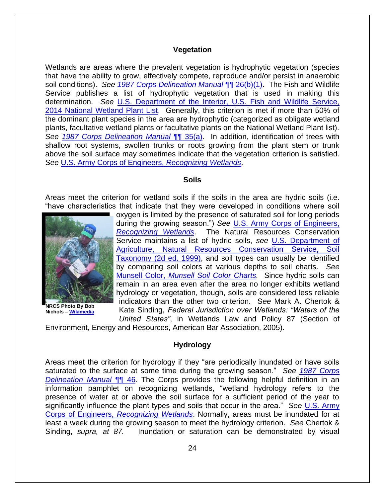#### **Vegetation**

Wetlands are areas where the prevalent vegetation is hydrophytic vegetation (species that have the ability to grow, effectively compete, reproduce and/or persist in anaerobic soil conditions). *See [1987 Corps Delineation Manual](https://www.cpe.rutgers.edu/Wetlands/1987-Army-Corps-Wetlands-Delineation-Manual.pdf)* ¶¶ 26(b)(1). The Fish and Wildlife Service publishes a list of hydrophytic vegetation that is used in making this determination. *See* [U.S. Department of the Interior, U.S. Fish and Wildlife Service,](http://rsgisias.crrel.usace.army.mil/NWPL/)  2014 [National Wetland Plant List.](http://rsgisias.crrel.usace.army.mil/NWPL/) Generally, this criterion is met if more than 50% of the dominant plant species in the area are hydrophytic (categorized as obligate wetland plants, facultative wetland plants or facultative plants on the National Wetland Plant list). *See [1987 Corps Delineation Manual](https://www.cpe.rutgers.edu/Wetlands/1987-Army-Corps-Wetlands-Delineation-Manual.pdf)* ¶¶ 35(a). In addition, identification of trees with shallow root systems, swollen trunks or roots growing from the plant stem or trunk above the soil surface may sometimes indicate that the vegetation criterion is satisfied. *See* [U.S. Army Corps of Engineers,](http://web.archive.org/web/20161214000502/http:/www.usace.army.mil/Portals/2/docs/civilworks/regulatory/rw_bro.pdf) *Recognizing Wetlands*.

#### **Soils**

Areas meet the criterion for wetland soils if the soils in the area are hydric soils (i.e. "have characteristics that indicate that they were developed in conditions where soil



**NRCS Photo By Bob Nichols – [Wikimedia](http://commons.wikimedia.org/wiki/File:NRCSNE00023_-_Nebraska_(5167)(NRCS_Photo_Gallery).jpg)**

oxygen is limited by the presence of saturated soil for long periods during the growing season.") *See* [U.S. Army Corps of Engineers,](http://web.archive.org/web/20161214000502/http:/www.usace.army.mil/Portals/2/docs/civilworks/regulatory/rw_bro.pdf)  *[Recognizing Wetlands](http://web.archive.org/web/20161214000502/http:/www.usace.army.mil/Portals/2/docs/civilworks/regulatory/rw_bro.pdf)*. The Natural Resources Conservation Service maintains a list of hydric soils, *see* [U.S. Department of](http://www.nrcs.usda.gov/Internet/FSE_DOCUMENTS/nrcs142p2_051232.pdf)  [Agriculture, Natural Resources Conservation Service, Soil](http://www.nrcs.usda.gov/Internet/FSE_DOCUMENTS/nrcs142p2_051232.pdf)  [Taxonomy \(2d ed. 1999\),](http://www.nrcs.usda.gov/Internet/FSE_DOCUMENTS/nrcs142p2_051232.pdf) and soil types can usually be identified by comparing soil colors at various depths to soil charts. *Se[e](http://munsell.com/color-products/color-communications-products/environmental-color-communication/munsell-soil-color-charts/)* Munsell Color, *[Munsell Soil Color Charts.](http://munsell.com/color-products/color-communications-products/environmental-color-communication/munsell-soil-color-charts/)* Since hydric soils can remain in an area even after the area no longer exhibits wetland hydrology or vegetation, though, soils are considered less reliable indicators than the other two criterion. S*ee* Mark A. Chertok & Kate Sinding, *Federal Jurisdiction over Wetlands: "Waters of the United States"*, in Wetlands Law and Policy 87 (Section of

Environment, Energy and Resources, American Bar Association, 2005).

#### **Hydrology**

Areas meet the criterion for hydrology if they "are periodically inundated or have soils saturated to the surface at some time during the growing season." *See [1987 Corps](https://www.cpe.rutgers.edu/Wetlands/1987-Army-Corps-Wetlands-Delineation-Manual.pdf)*  **[Delineation Manual](https://www.cpe.rutgers.edu/Wetlands/1987-Army-Corps-Wetlands-Delineation-Manual.pdf) <sup>¶</sup> 46.** The Corps provides the following helpful definition in an information pamphlet on recognizing wetlands, "wetland hydrology refers to the presence of water at or above the soil surface for a sufficient period of the year to significantly influence the plant types and soils that occur in the area." *See* [U.S. Army](http://web.archive.org/web/20161214000502/http:/www.usace.army.mil/Portals/2/docs/civilworks/regulatory/rw_bro.pdf)  Corps of Engineers, *[Recognizing Wetlands](http://web.archive.org/web/20161214000502/http:/www.usace.army.mil/Portals/2/docs/civilworks/regulatory/rw_bro.pdf)*. Normally, areas must be inundated for at least a week during the growing season to meet the hydrology criterion. *See* Chertok & Sinding, *supra, at 87.* Inundation or saturation can be demonstrated by visual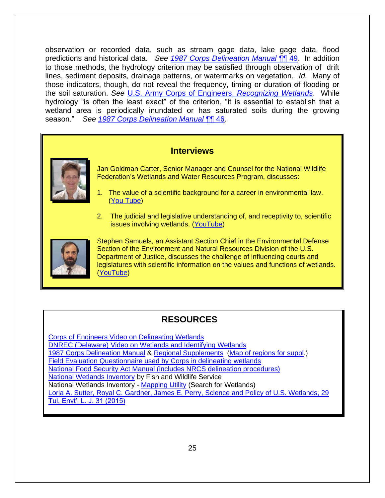observation or recorded data, such as stream gage data, lake gage data, flood predictions and historical data. *See [1987 Corps Delineation Manual](https://www.cpe.rutgers.edu/Wetlands/1987-Army-Corps-Wetlands-Delineation-Manual.pdf)* ¶¶ 49. In addition to those methods, the hydrology criterion may be satisfied through observation of drift lines, sediment deposits, drainage patterns, or watermarks on vegetation. *Id.* Many of those indicators, though, do not reveal the frequency, timing or duration of flooding or the soil saturation. *See* [U.S. Army Corps of Engineers,](http://web.archive.org/web/20161214000502/http:/www.usace.army.mil/Portals/2/docs/civilworks/regulatory/rw_bro.pdf) *Recognizing Wetlands*. While hydrology "is often the least exact" of the criterion, "it is essential to establish that a wetland area is periodically inundated or has saturated soils during the growing season." *See [1987 Corps Delineation Manual](https://www.cpe.rutgers.edu/Wetlands/1987-Army-Corps-Wetlands-Delineation-Manual.pdf)* ¶¶ 46.

# **Interviews**



Jan Goldman Carter, Senior Manager and Counsel for the National Wildlife Federation's Wetlands and Water Resources Program, discusses:

- 1. The value of a scientific background for a career in environmental law. [\(You Tube\)](https://www.youtube.com/watch?v=X17gNp1i4XM)
- 2. The judicial and legislative understanding of, and receptivity to, scientific issues involving wetlands. [\(YouTube\)](https://www.youtube.com/watch?v=ryOCa0aodgA)



Stephen Samuels, an Assistant Section Chief in the Environmental Defense Section of the Environment and Natural Resources Division of the U.S. Department of Justice, discusses the challenge of influencing courts and legislatures with scientific information on the values and functions of wetlands. [\(YouTube\)](https://www.youtube.com/watch?v=z8QHEy9qJpw)

# **RESOURCES**

[Corps of Engineers Video on Delineating Wetlands](http://www.dvidshub.net/video/embed/148986) [DNREC \(Delaware\) Video on Wetlands and Identifying Wetlands](http://www.youtube.com/watch?v=j50E_TyDdio) [1987 Corps Delineation Manual](https://www.cpe.rutgers.edu/Wetlands/1987-Army-Corps-Wetlands-Delineation-Manual.pdf) & [Regional Supplements](http://www.usace.army.mil/Missions/CivilWorks/RegulatoryProgramandPermits/reg_supp.aspx) [\(Map of regions for suppl.](http://www.usace.army.mil/Portals/2/docs/civilworks/regulatory/reg_supp/map_del_region.pdf)) [Field Evaluation Questionnaire used by Corps in delineating wetlands](http://web.archive.org/web/20150907001248/http:/www.usace.army.mil/Portals/2/docs/civilworks/regulatory/reg_supp/wetland_del_eval_quest_5-5-2005.pdf)  [National Food Security Act Manual \(includes NRCS delineation procedures\)](http://directives.sc.egov.usda.gov/default.aspx) [National Wetlands Inventory](http://www.fws.gov/wetlands/) by Fish and Wildlife Service National Wetlands Inventory - [Mapping Utility](http://www.fws.gov/wetlands/Data/Mapper.html) (Search for Wetlands) [Loria A. Sutter, Royal C. Gardner, James E. Perry, Science and Policy of U.S. Wetlands, 29](https://litigation-essentials.lexisnexis.com/webcd/app?action=DocumentDisplay&crawlid=1&doctype=cite&docid=29+Tul.+Envtl.+L.J.+31&srctype=smi&srcid=3B15&key=05a1923a1c8d8d493802d8f74d4e8a21)  [Tul. Envt'l L. J. 31 \(2015\)](https://litigation-essentials.lexisnexis.com/webcd/app?action=DocumentDisplay&crawlid=1&doctype=cite&docid=29+Tul.+Envtl.+L.J.+31&srctype=smi&srcid=3B15&key=05a1923a1c8d8d493802d8f74d4e8a21)